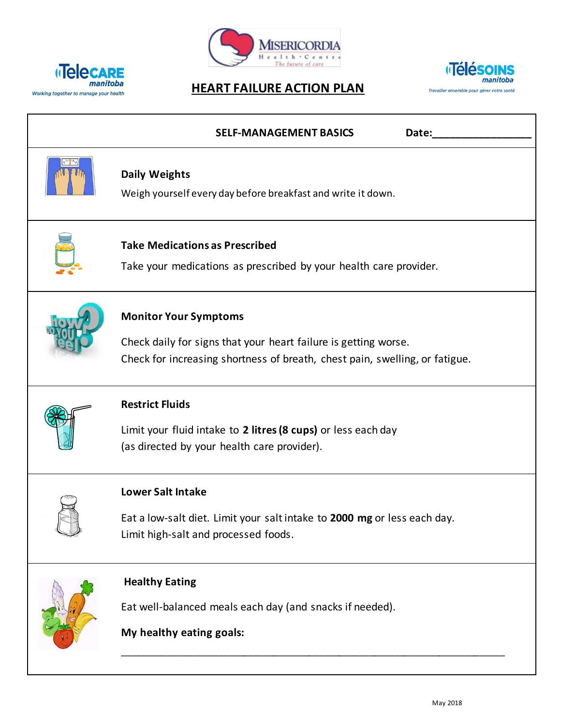





| <b>SELF-MANAGEMENT BASICS</b><br>Date:                                                                                                                                         |
|--------------------------------------------------------------------------------------------------------------------------------------------------------------------------------|
| <b>Daily Weights</b><br>Weigh yourself every day before breakfast and write it down.                                                                                           |
| <b>Take Medications as Prescribed</b><br>Take your medications as prescribed by your health care provider.                                                                     |
| <b>Monitor Your Symptoms</b><br>Check daily for signs that your heart failure is getting worse.<br>Check for increasing shortness of breath, chest pain, swelling, or fatigue. |
| <b>Restrict Fluids</b><br>Limit your fluid intake to 2 litres (8 cups) or less each day<br>(as directed by your health care provider).                                         |
| <b>Lower Salt Intake</b><br>Eat a low-salt diet. Limit your salt intake to 2000 mg or less each day.<br>Limit high-salt and processed foods.                                   |
| <b>Healthy Eating</b><br>Eat well-balanced meals each day (and snacks if needed).<br>My healthy eating goals:                                                                  |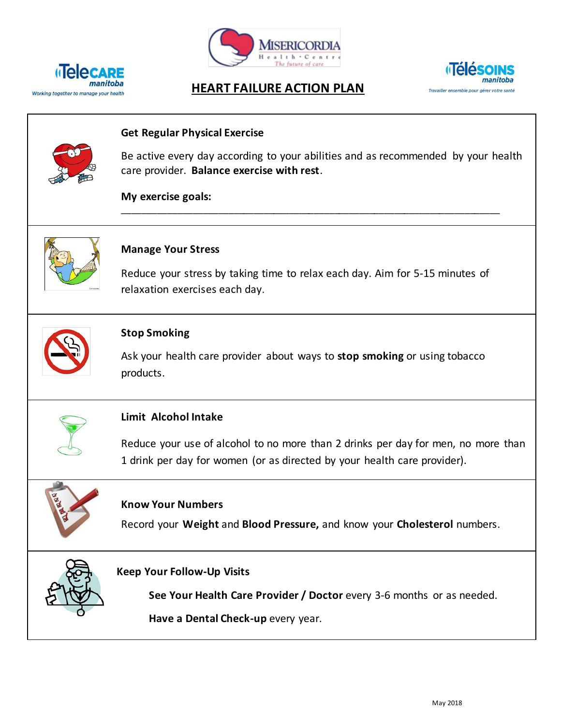





## *Manitoba* **HEART FAILURE ACTION PLAN**<br>Working together to manage your health

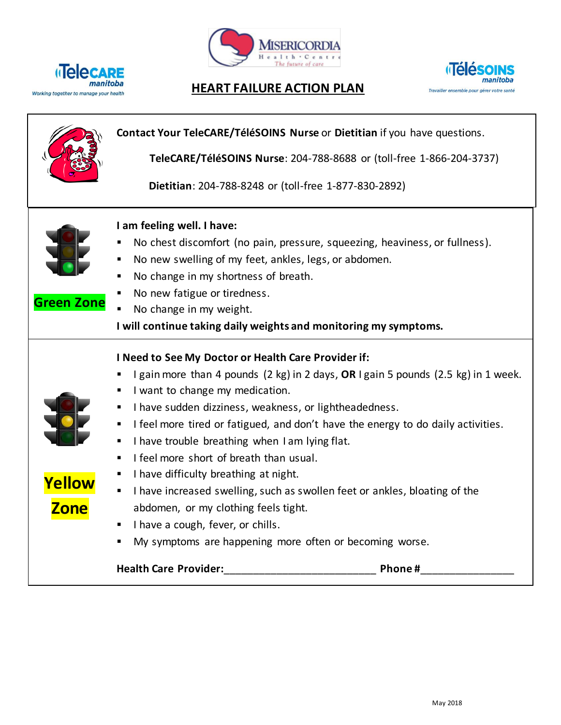





## *Manitoba* **HEART FAILURE ACTION PLAN**<br>Working together to manage your health

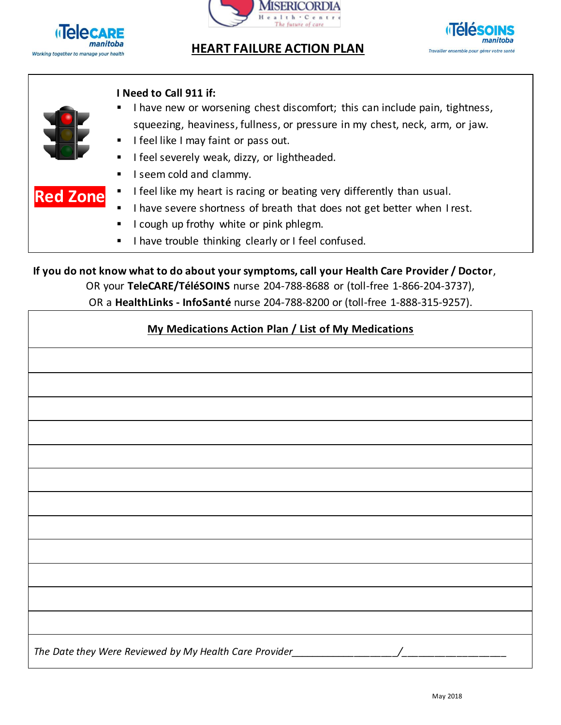

## **Manitoba**<br> **HEART FAILURE ACTION PLAN**<br> **HEART FAILURE ACTION PLAN**





**Red Zone**

### **I Need to Call 911 if:**

- I have new or worsening chest discomfort; this can include pain, tightness, squeezing, heaviness, fullness, or pressure in my chest, neck, arm, or jaw.
- I feel like I may faint or pass out.
- I feel severely weak, dizzy, or lightheaded.
- I seem cold and clammy.
- I feel like my heart is racing or beating very differently than usual.
- I have severe shortness of breath that does not get better when I rest.
- I cough up frothy white or pink phlegm.
- I have trouble thinking clearly or I feel confused.

**If you do not know what to do about your symptoms, call your Health Care Provider / Doctor**,

OR your **TeleCARE/TéléSOINS** nurse 204-788-8688 or (toll-free 1-866-204-3737),

OR a **HealthLinks - InfoSanté** nurse 204-788-8200 or (toll-free 1-888-315-9257).

## **My Medications Action Plan / List of My Medications**

| <u><b>INTY INTEGRATIONS ACTION FIGHT</b></u> LIST OF INTY INTEGRATIONS           |  |  |  |  |  |
|----------------------------------------------------------------------------------|--|--|--|--|--|
|                                                                                  |  |  |  |  |  |
|                                                                                  |  |  |  |  |  |
|                                                                                  |  |  |  |  |  |
|                                                                                  |  |  |  |  |  |
|                                                                                  |  |  |  |  |  |
|                                                                                  |  |  |  |  |  |
|                                                                                  |  |  |  |  |  |
|                                                                                  |  |  |  |  |  |
|                                                                                  |  |  |  |  |  |
|                                                                                  |  |  |  |  |  |
|                                                                                  |  |  |  |  |  |
|                                                                                  |  |  |  |  |  |
| The Date they Were Reviewed by My Health Care Provider__________________________ |  |  |  |  |  |